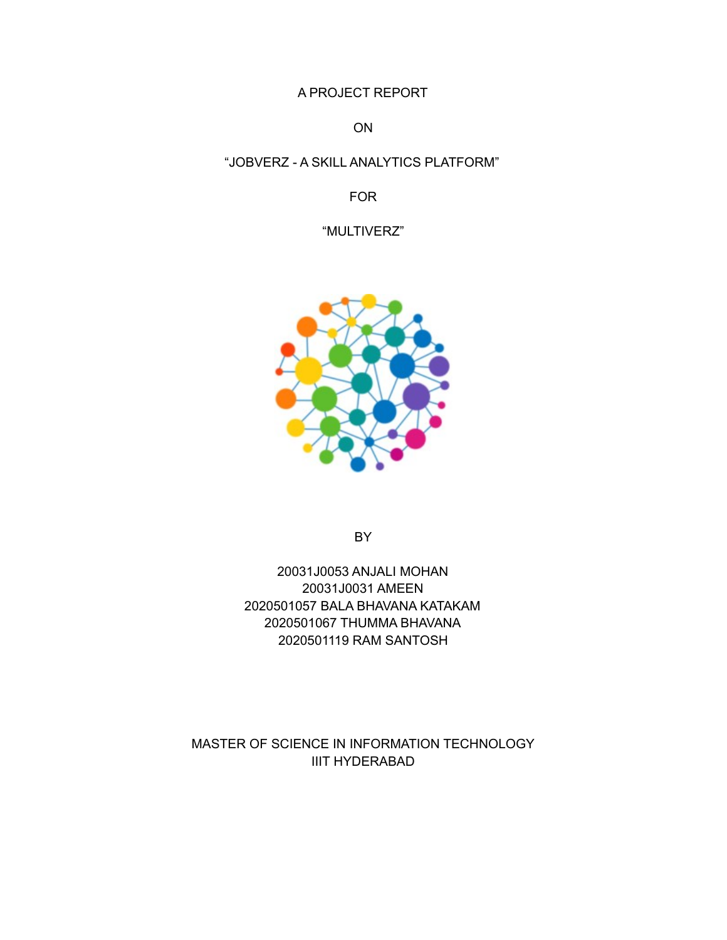A PROJECT REPORT

ON

#### "JOBVERZ - A SKILL ANALYTICS PLATFORM"

FOR

"MULTIVERZ"



**BY** 

20031J0053 ANJALI MOHAN 20031J0031 AMEEN 2020501057 BALA BHAVANA KATAKAM 2020501067 THUMMA BHAVANA 2020501119 RAM SANTOSH

MASTER OF SCIENCE IN INFORMATION TECHNOLOGY IIIT HYDERABAD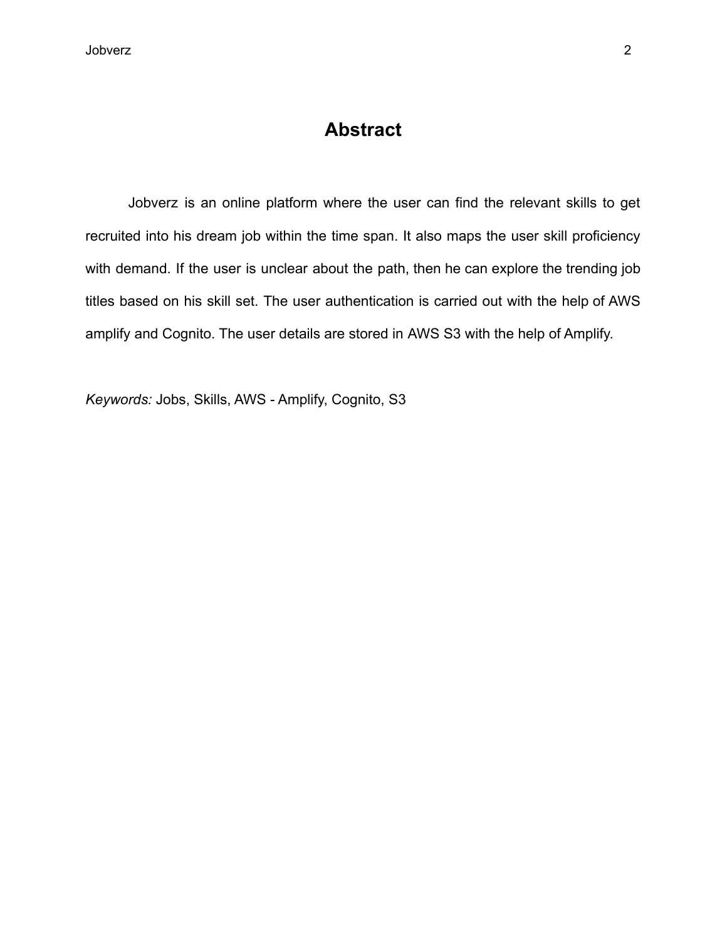## **Abstract**

Jobverz is an online platform where the user can find the relevant skills to get recruited into his dream job within the time span. It also maps the user skill proficiency with demand. If the user is unclear about the path, then he can explore the trending job titles based on his skill set. The user authentication is carried out with the help of AWS amplify and Cognito. The user details are stored in AWS S3 with the help of Amplify.

*Keywords:* Jobs, Skills, AWS - Amplify, Cognito, S3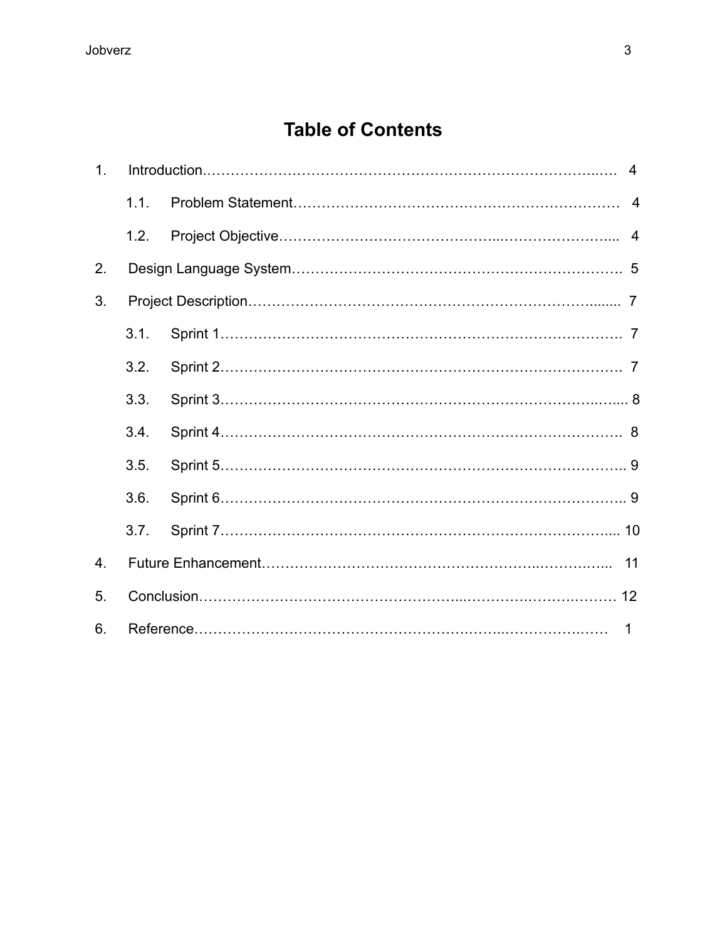# **Table of Contents**

| 1. |      |              | $\overline{4}$ |
|----|------|--------------|----------------|
|    | 1.1. |              |                |
|    | 1.2. |              |                |
| 2. |      |              |                |
| 3. |      |              |                |
|    | 3.1. |              |                |
|    | 3.2. |              |                |
|    | 3.3. |              |                |
|    | 3.4. |              |                |
|    | 3.5. |              |                |
|    | 3.6. |              |                |
|    | 3.7. |              |                |
| 4. |      |              |                |
| 5. |      |              |                |
| 6. |      | $\mathbf{1}$ |                |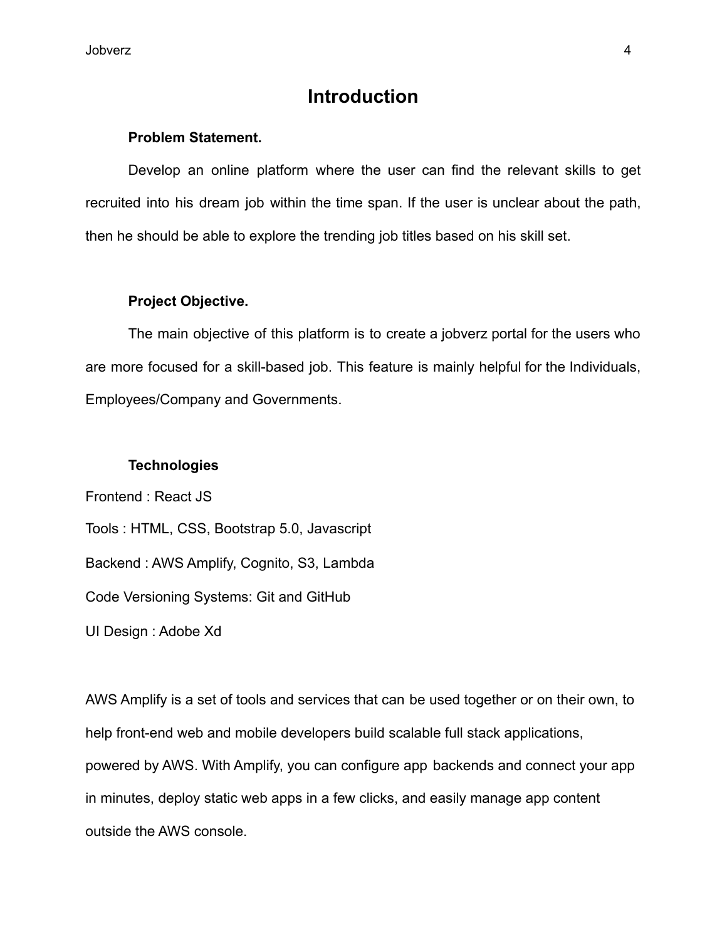Jobverz 4

## **Introduction**

#### **Problem Statement.**

Develop an online platform where the user can find the relevant skills to get recruited into his dream job within the time span. If the user is unclear about the path, then he should be able to explore the trending job titles based on his skill set.

#### **Project Objective.**

The main objective of this platform is to create a jobverz portal for the users who are more focused for a skill-based job. This feature is mainly helpful for the Individuals, Employees/Company and Governments.

#### **Technologies**

Frontend : React JS Tools : HTML, CSS, Bootstrap 5.0, Javascript Backend : AWS Amplify, Cognito, S3, Lambda Code Versioning Systems: Git and GitHub UI Design : Adobe Xd

AWS Amplify is a set of tools and services that can be used together or on their own, to help front-end web and mobile developers build scalable full stack applications, powered by AWS. With Amplify, you can configure app backends and connect your app in minutes, deploy static web apps in a few clicks, and easily manage app content outside the AWS console.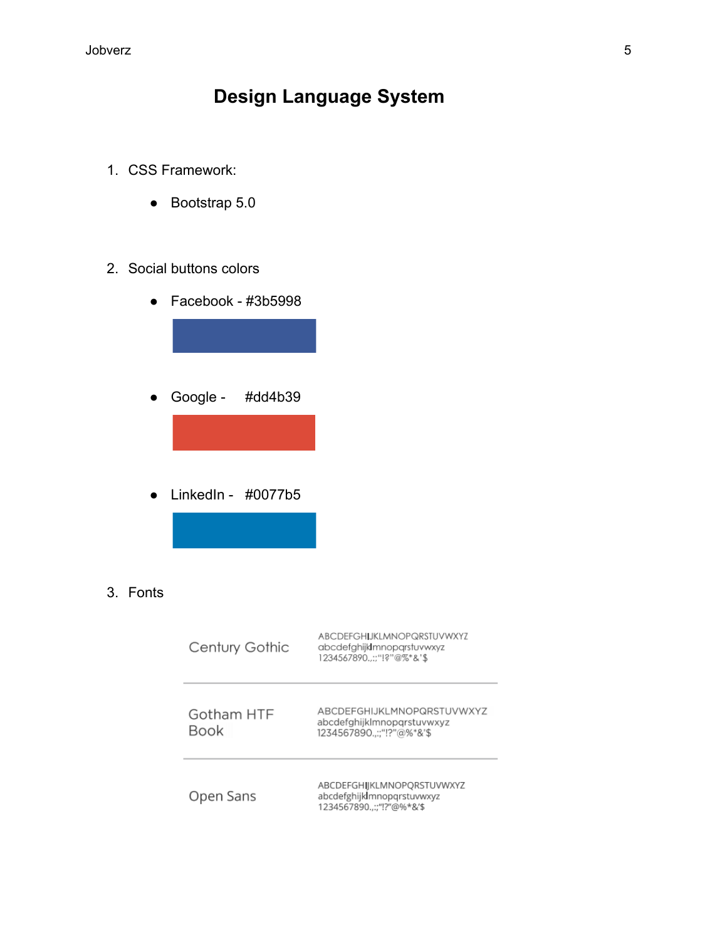# **Design Language System**

- 1. CSS Framework:
	- Bootstrap 5.0

#### 2. Social buttons colors

● Facebook - #3b5998 ● Google - #dd4b39 ● LinkedIn - #0077b5

#### 3. Fonts

| Century Gothic     | <b>ABCDEFGHLIKLMNOPQRSTUVWXYZ</b><br>abcdefghijkImnoparstuvwxyz<br>1234567890::"!?"@%*&'\$ |
|--------------------|--------------------------------------------------------------------------------------------|
| Gotham HTF<br>Book | ABCDEFGHIJKLMNOPQRSTUVWXYZ<br>abcdefghijklmnopgrstuvwxyz<br>1234567890::"!?"@%*&'\$        |
| Open Sans          | ABCDEFGHIJKLMNOPORSTUVWXYZ<br>abcdefghijk mnopgrstuvwxyz<br>1234567890::"!?"@%*&'\$        |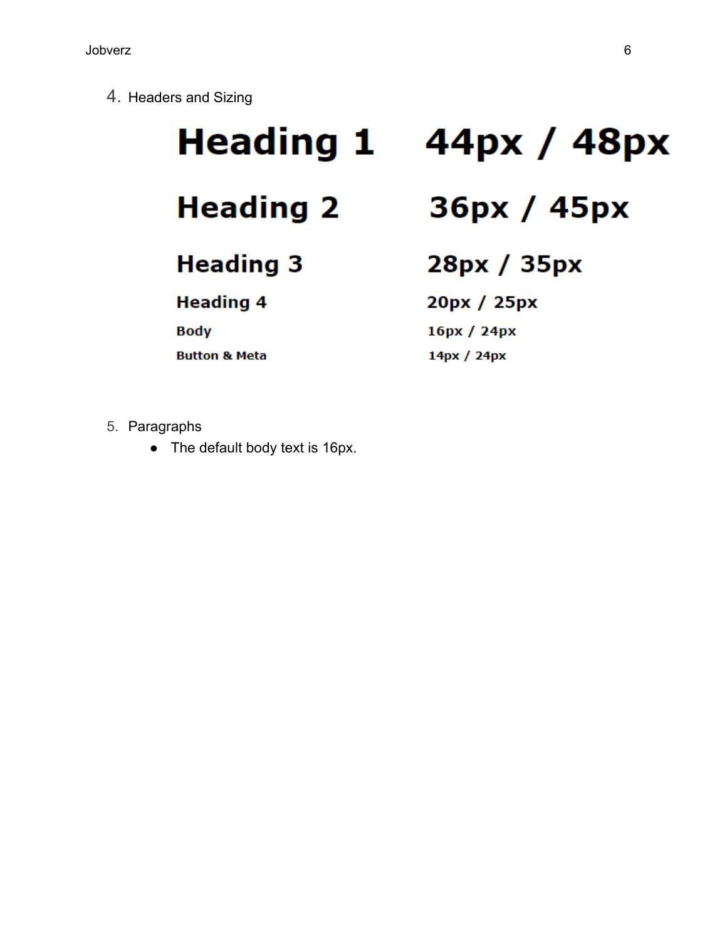4. Headers and Sizing

# **Heading 1**

**Heading 2** 

**Heading 3** 

**Heading 4** 

**Body** 

**Button & Meta** 

# 44px / 48px

36рх / 45рх

28px / 35px

20px / 25px

16px / 24px

14px / 24px

- 5. Paragraphs
	- The default body text is 16px.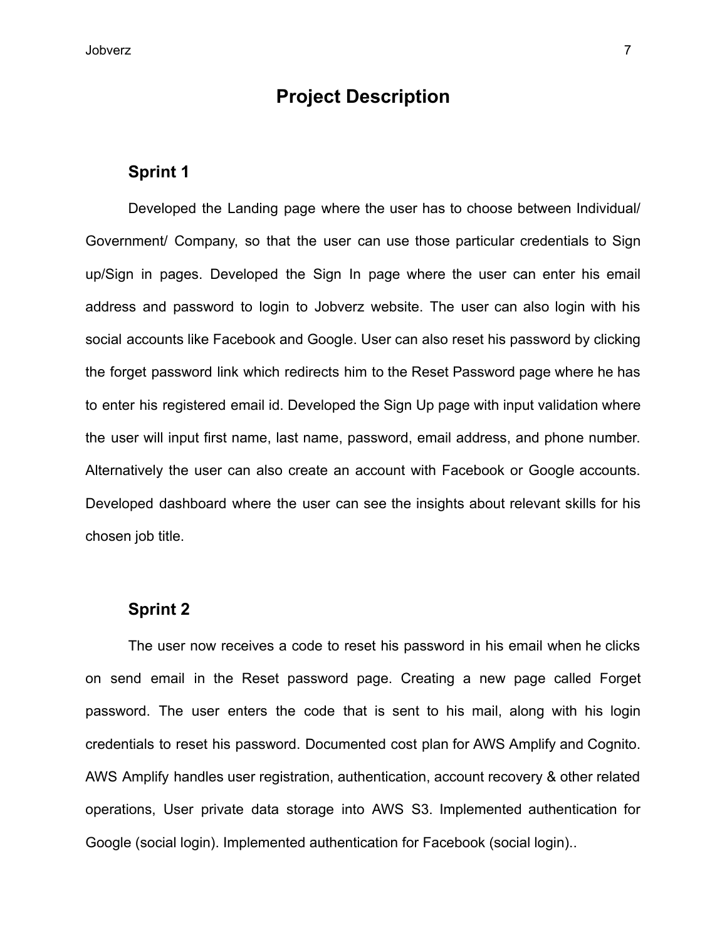## **Project Description**

#### **Sprint 1**

Developed the Landing page where the user has to choose between Individual/ Government/ Company, so that the user can use those particular credentials to Sign up/Sign in pages. Developed the Sign In page where the user can enter his email address and password to login to Jobverz website. The user can also login with his social accounts like Facebook and Google. User can also reset his password by clicking the forget password link which redirects him to the Reset Password page where he has to enter his registered email id. Developed the Sign Up page with input validation where the user will input first name, last name, password, email address, and phone number. Alternatively the user can also create an account with Facebook or Google accounts. Developed dashboard where the user can see the insights about relevant skills for his chosen job title.

#### **Sprint 2**

The user now receives a code to reset his password in his email when he clicks on send email in the Reset password page. Creating a new page called Forget password. The user enters the code that is sent to his mail, along with his login credentials to reset his password. Documented cost plan for AWS Amplify and Cognito. AWS Amplify handles user registration, authentication, account recovery & other related operations, User private data storage into AWS S3. Implemented authentication for Google (social login). Implemented authentication for Facebook (social login)..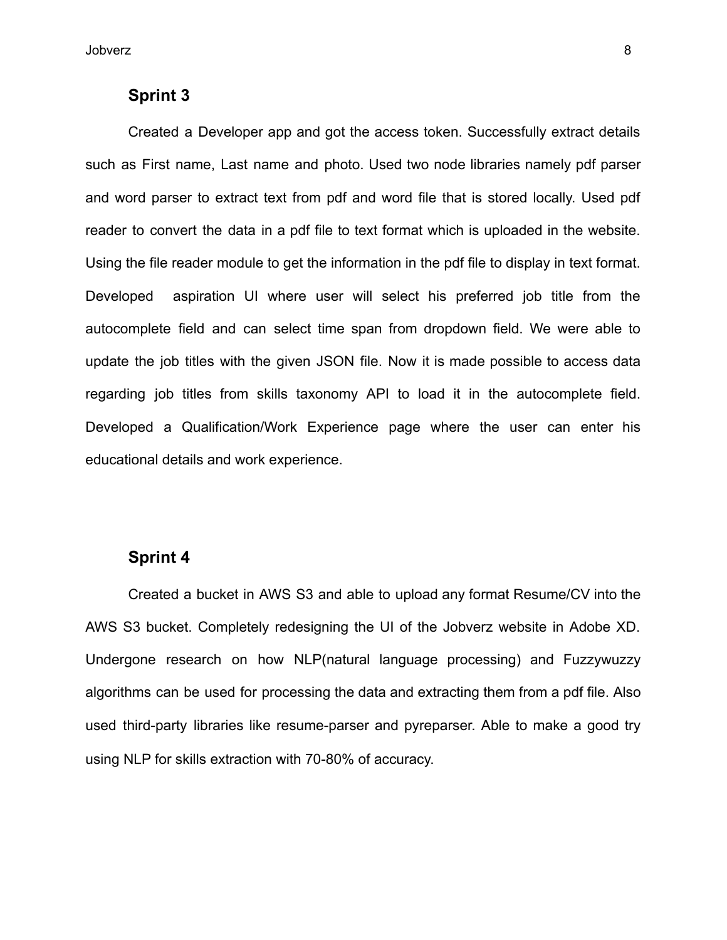#### **Sprint 3**

Created a Developer app and got the access token. Successfully extract details such as First name, Last name and photo. Used two node libraries namely pdf parser and word parser to extract text from pdf and word file that is stored locally. Used pdf reader to convert the data in a pdf file to text format which is uploaded in the website. Using the file reader module to get the information in the pdf file to display in text format. Developed aspiration UI where user will select his preferred job title from the autocomplete field and can select time span from dropdown field. We were able to update the job titles with the given JSON file. Now it is made possible to access data regarding job titles from skills taxonomy API to load it in the autocomplete field. Developed a Qualification/Work Experience page where the user can enter his educational details and work experience.

#### **Sprint 4**

Created a bucket in AWS S3 and able to upload any format Resume/CV into the AWS S3 bucket. Completely redesigning the UI of the Jobverz website in Adobe XD. Undergone research on how NLP(natural language processing) and Fuzzywuzzy algorithms can be used for processing the data and extracting them from a pdf file. Also used third-party libraries like resume-parser and pyreparser. Able to make a good try using NLP for skills extraction with 70-80% of accuracy.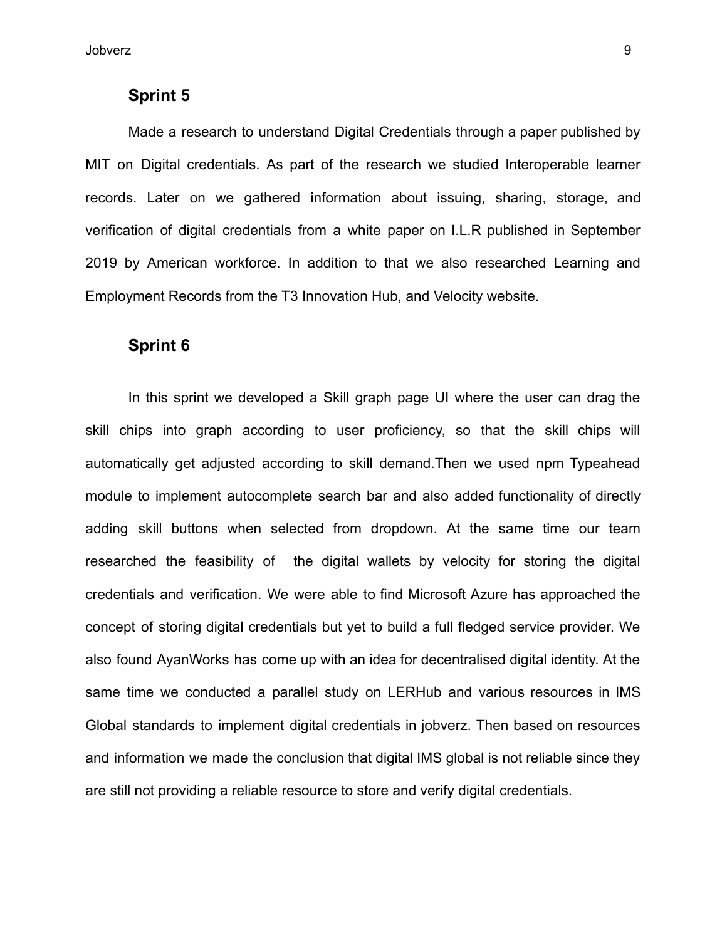#### **Sprint 5**

Made a research to understand Digital Credentials through a paper published by MIT on Digital credentials. As part of the research we studied Interoperable learner records. Later on we gathered information about issuing, sharing, storage, and verification of digital credentials from a white paper on I.L.R published in September 2019 by American workforce. In addition to that we also researched Learning and Employment Records from the T3 Innovation Hub, and Velocity website.

#### **Sprint 6**

In this sprint we developed a Skill graph page UI where the user can drag the skill chips into graph according to user proficiency, so that the skill chips will automatically get adjusted according to skill demand.Then we used npm Typeahead module to implement autocomplete search bar and also added functionality of directly adding skill buttons when selected from dropdown. At the same time our team researched the feasibility of the digital wallets by velocity for storing the digital credentials and verification. We were able to find Microsoft Azure has approached the concept of storing digital credentials but yet to build a full fledged service provider. We also found AyanWorks has come up with an idea for decentralised digital identity. At the same time we conducted a parallel study on LERHub and various resources in IMS Global standards to implement digital credentials in jobverz. Then based on resources and information we made the conclusion that digital IMS global is not reliable since they are still not providing a reliable resource to store and verify digital credentials.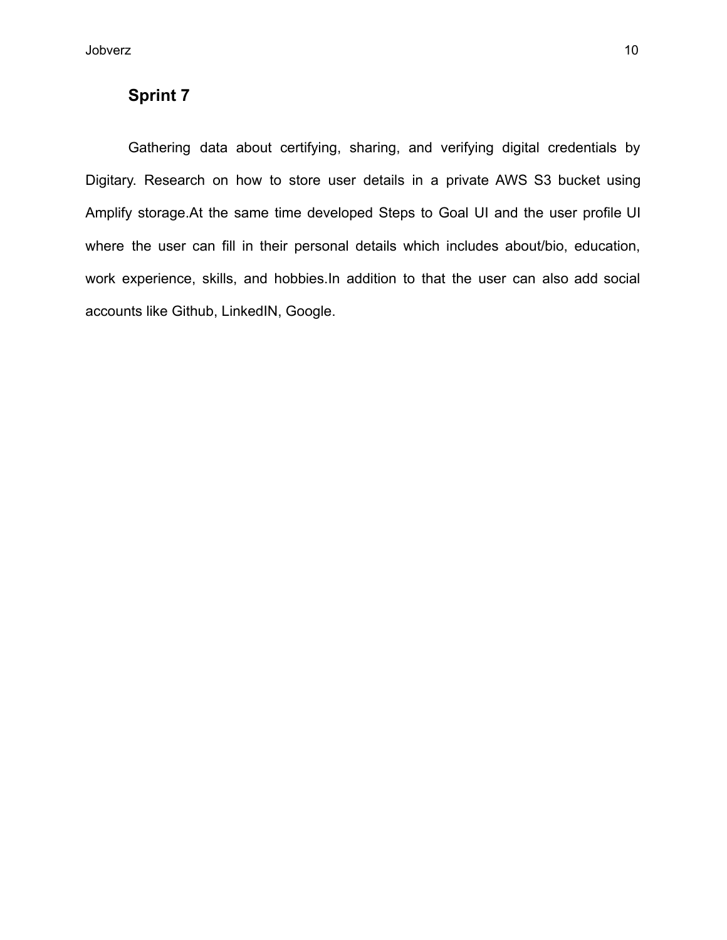### **Sprint 7**

Gathering data about certifying, sharing, and verifying digital credentials by Digitary. Research on how to store user details in a private AWS S3 bucket using Amplify storage.At the same time developed Steps to Goal UI and the user profile UI where the user can fill in their personal details which includes about/bio, education, work experience, skills, and hobbies.In addition to that the user can also add social accounts like Github, LinkedIN, Google.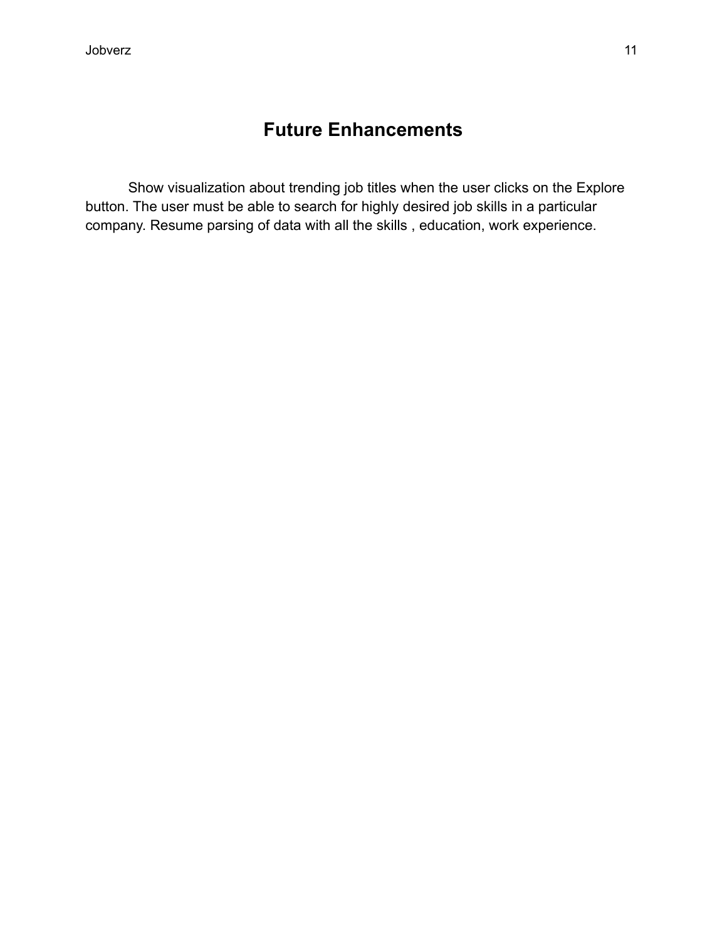# **Future Enhancements**

Show visualization about trending job titles when the user clicks on the Explore button. The user must be able to search for highly desired job skills in a particular company. Resume parsing of data with all the skills , education, work experience.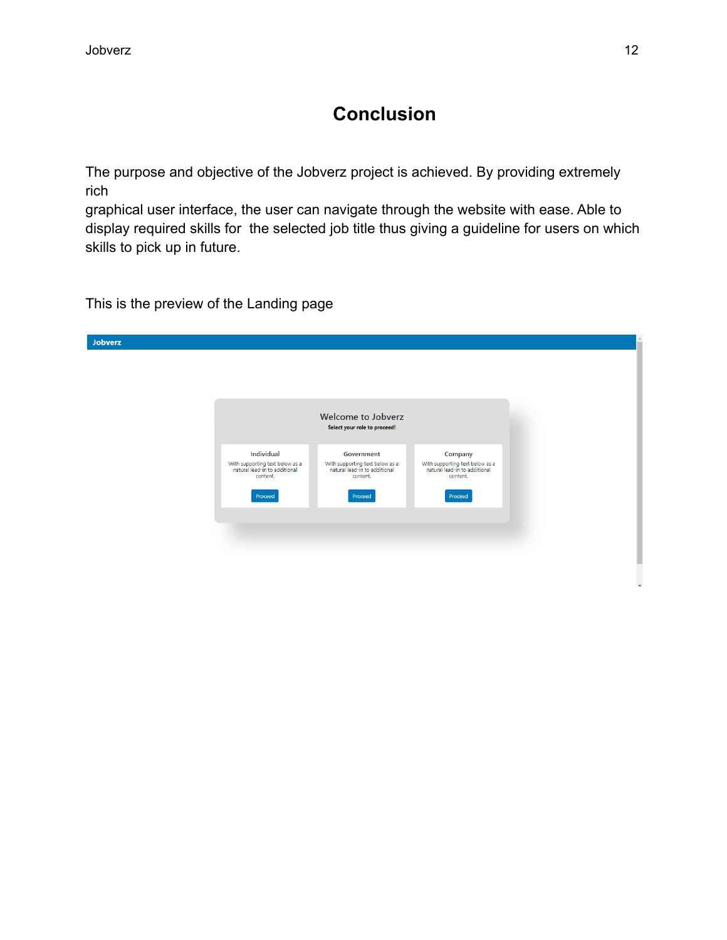# **Conclusion**

The purpose and objective of the Jobverz project is achieved. By providing extremely rich

graphical user interface, the user can navigate through the website with ease. Able to display required skills for the selected job title thus giving a guideline for users on which skills to pick up in future.

This is the preview of the Landing page

| Jobverz |                                                                                |                                                                                |                                                                             |
|---------|--------------------------------------------------------------------------------|--------------------------------------------------------------------------------|-----------------------------------------------------------------------------|
|         |                                                                                |                                                                                |                                                                             |
|         |                                                                                |                                                                                |                                                                             |
|         |                                                                                |                                                                                |                                                                             |
|         |                                                                                | <b>Welcome to Jobverz</b>                                                      |                                                                             |
|         |                                                                                | Select your role to proceed!                                                   |                                                                             |
|         |                                                                                |                                                                                |                                                                             |
|         | Individual<br>With supporting text below as a<br>natural lead-in to additional | Government<br>With supporting text below as a<br>natural lead-in to additional | Company<br>With supporting text below as a<br>natural lead-in to additional |
|         | content.                                                                       | content.                                                                       | content.                                                                    |
|         | Proceed                                                                        | Proceed                                                                        | Proceed                                                                     |
|         |                                                                                |                                                                                |                                                                             |
|         |                                                                                |                                                                                |                                                                             |
|         |                                                                                |                                                                                |                                                                             |
|         |                                                                                |                                                                                |                                                                             |
|         |                                                                                |                                                                                |                                                                             |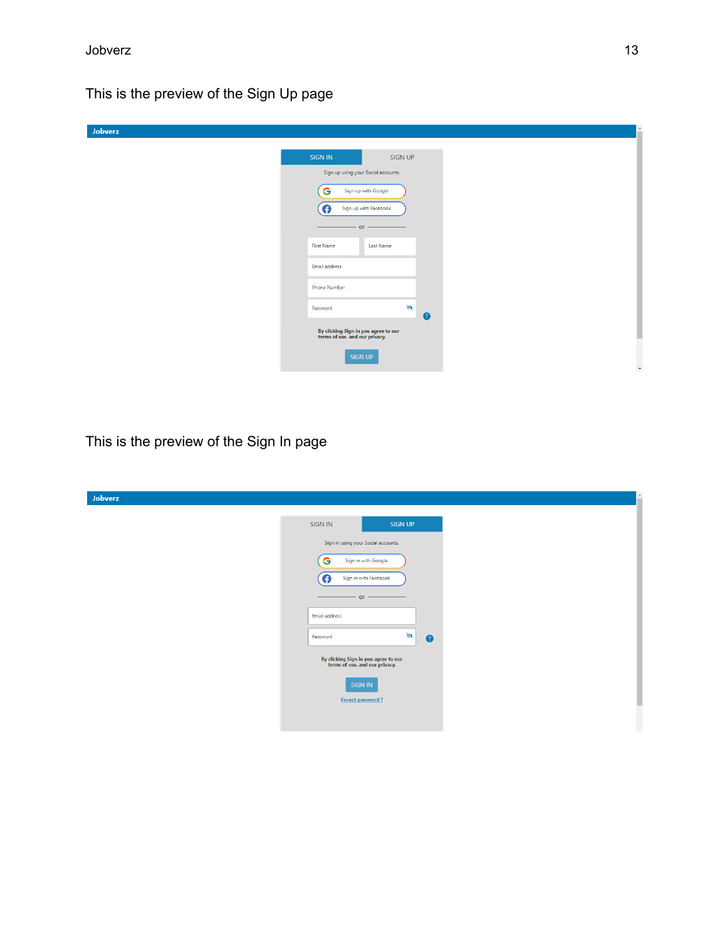This is the preview of the Sign Up page

| Jobverz |                                                                        |
|---------|------------------------------------------------------------------------|
|         | SIGN IN<br>SIGN UP                                                     |
|         | Sign up using your Social accounts.                                    |
|         | Sign up with Google<br>G<br>Sign up with Facebook<br>O<br>$or -$       |
|         | <b>First Name</b><br>Last Name                                         |
|         | Email address                                                          |
|         | <b>Phone Number</b>                                                    |
|         | $\mathcal{B}$<br>Password<br>0                                         |
|         | By clicking Sign in you agree to our<br>terms of use, and our privacy. |
|         | SIGN UP                                                                |

This is the preview of the Sign In page

| Jobverz |                                                                        |                |           |
|---------|------------------------------------------------------------------------|----------------|-----------|
|         | SIGN IN                                                                | <b>SIGN UP</b> |           |
|         | Sign in using your Social accounts.                                    |                |           |
|         | Sign in with Google<br>G                                               |                |           |
|         | O<br>Sign in with Facebook                                             |                |           |
|         | $-$ or $-$<br>Email address                                            |                |           |
|         |                                                                        | $\mathfrak{S}$ |           |
|         | Password                                                               |                | $\bullet$ |
|         | By clicking Sign in you agree to our<br>terms of use, and our privacy. |                |           |
|         | <b>SIGN IN</b>                                                         |                |           |
|         | <b>Forgot password?</b>                                                |                |           |
|         |                                                                        |                |           |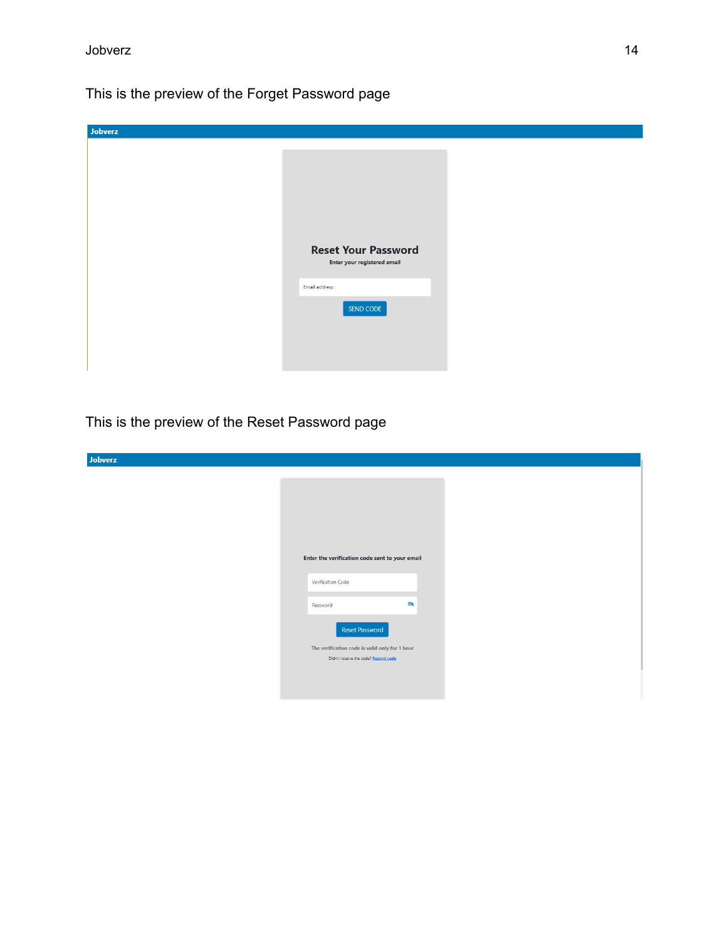This is the preview of the Forget Password page

| Jobverz |                                                           |
|---------|-----------------------------------------------------------|
|         |                                                           |
|         |                                                           |
|         |                                                           |
|         |                                                           |
|         |                                                           |
|         |                                                           |
|         |                                                           |
|         | <b>Reset Your Password</b><br>Enter your registered email |
|         |                                                           |
|         | Email address                                             |
|         | SEND CODE                                                 |
|         |                                                           |
|         |                                                           |
|         |                                                           |
|         |                                                           |

This is the preview of the Reset Password page

| Jobverz |                                                |
|---------|------------------------------------------------|
|         |                                                |
|         |                                                |
|         |                                                |
|         |                                                |
|         |                                                |
|         |                                                |
|         | Enter the verification code sent to your email |
|         | Verification Code                              |
|         |                                                |
|         | $\mathfrak{S}$<br>Password                     |
|         |                                                |
|         | <b>Reset Password</b>                          |
|         | The verification code is valid only for 1 hour |
|         | Didn't receive the code? Resend code           |
|         |                                                |
|         |                                                |
|         |                                                |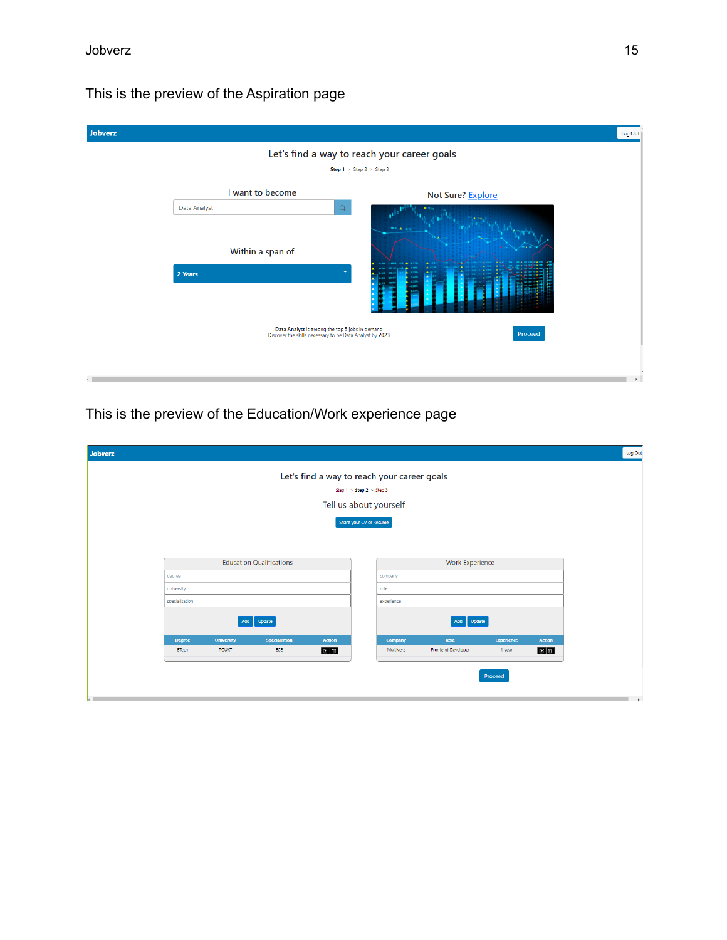## This is the preview of the Aspiration page

| Jobverz      |                                                                                                            |                   | Log Out       |  |
|--------------|------------------------------------------------------------------------------------------------------------|-------------------|---------------|--|
|              | Let's find a way to reach your career goals                                                                |                   |               |  |
|              | <b>Step 1</b> > Step 2 > Step 3                                                                            |                   |               |  |
|              | I want to become                                                                                           | Not Sure? Explore |               |  |
| Data Analyst | $\hbox{\ensuremath{\mathsf{Q}}\xspace}$                                                                    |                   |               |  |
|              |                                                                                                            |                   |               |  |
|              | Within a span of                                                                                           |                   |               |  |
| 2 Years      |                                                                                                            |                   |               |  |
|              |                                                                                                            |                   |               |  |
|              | Data Analyst is among the top 5 jobs in demand<br>Discover the skills necessary to be Data Analyst by 2023 | Proceed           |               |  |
|              |                                                                                                            |                   |               |  |
| $\left($     |                                                                                                            |                   | $\rightarrow$ |  |

## This is the preview of the Education/Work experience page

| Let's find a way to reach your career goals                                 |                                                       |  |  |  |  |
|-----------------------------------------------------------------------------|-------------------------------------------------------|--|--|--|--|
| Step 1 > Step 2 > Step 3                                                    |                                                       |  |  |  |  |
| Tell us about yourself                                                      |                                                       |  |  |  |  |
| Share your CV or Resume                                                     |                                                       |  |  |  |  |
| <b>Education Qualifications</b>                                             | Work Experience                                       |  |  |  |  |
| degree                                                                      | company                                               |  |  |  |  |
| university                                                                  | role                                                  |  |  |  |  |
| specialisation                                                              | experience                                            |  |  |  |  |
| Update<br>Add                                                               | Update<br>Add                                         |  |  |  |  |
| <b>University</b><br><b>Specialistion</b><br><b>Action</b><br><b>Degree</b> | <b>Action</b><br>Company<br>Role<br><b>Experience</b> |  |  |  |  |
| ECE<br><b>BTech</b><br><b>RGUKT</b><br>⊠■                                   | Frontend Developer<br>Multiverz<br>⊠■<br>1 year       |  |  |  |  |
|                                                                             | Proceed                                               |  |  |  |  |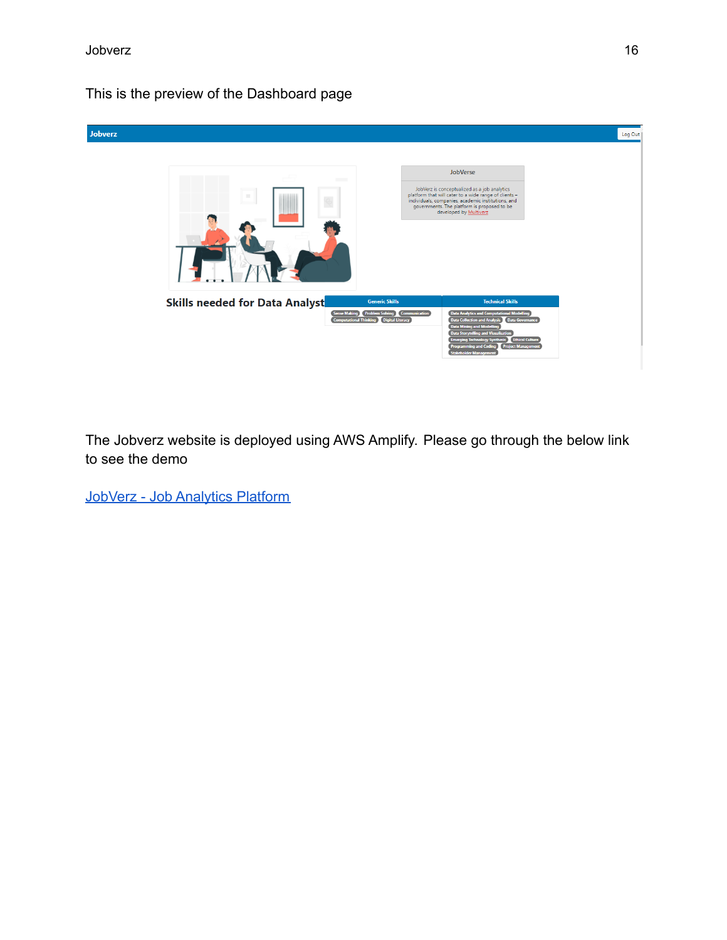### This is the preview of the Dashboard page



The Jobverz website is deployed using AWS Amplify. Please go through the below link to see the demo

[JobVerz - Job Analytics Platform](https://dev.d1lnakdl8cijq4.amplifyapp.com/)